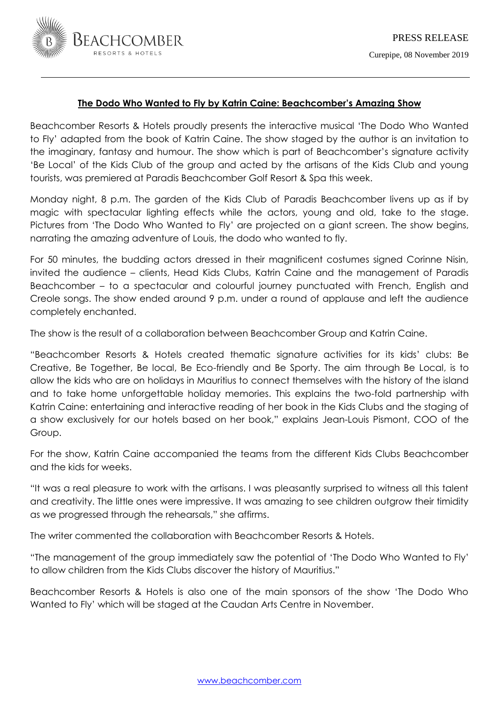

# **The Dodo Who Wanted to Fly by Katrin Caine: Beachcomber's Amazing Show**

Beachcomber Resorts & Hotels proudly presents the interactive musical 'The Dodo Who Wanted to Fly' adapted from the book of Katrin Caine. The show staged by the author is an invitation to the imaginary, fantasy and humour. The show which is part of Beachcomber's signature activity 'Be Local' of the Kids Club of the group and acted by the artisans of the Kids Club and young tourists, was premiered at Paradis Beachcomber Golf Resort & Spa this week.

Monday night, 8 p.m. The garden of the Kids Club of Paradis Beachcomber livens up as if by magic with spectacular lighting effects while the actors, young and old, take to the stage. Pictures from 'The Dodo Who Wanted to Fly' are projected on a giant screen. The show begins, narrating the amazing adventure of Louis, the dodo who wanted to fly.

For 50 minutes, the budding actors dressed in their magnificent costumes signed Corinne Nisin, invited the audience – clients, Head Kids Clubs, Katrin Caine and the management of Paradis Beachcomber – to a spectacular and colourful journey punctuated with French, English and Creole songs. The show ended around 9 p.m. under a round of applause and left the audience completely enchanted.

The show is the result of a collaboration between Beachcomber Group and Katrin Caine.

"Beachcomber Resorts & Hotels created thematic signature activities for its kids' clubs: Be Creative, Be Together, Be local, Be Eco-friendly and Be Sporty. The aim through Be Local, is to allow the kids who are on holidays in Mauritius to connect themselves with the history of the island and to take home unforgettable holiday memories. This explains the two-fold partnership with Katrin Caine: entertaining and interactive reading of her book in the Kids Clubs and the staging of a show exclusively for our hotels based on her book," explains Jean-Louis Pismont, COO of the Group.

For the show, Katrin Caine accompanied the teams from the different Kids Clubs Beachcomber and the kids for weeks.

"It was a real pleasure to work with the artisans. I was pleasantly surprised to witness all this talent and creativity. The little ones were impressive. It was amazing to see children outgrow their timidity as we progressed through the rehearsals," she affirms.

The writer commented the collaboration with Beachcomber Resorts & Hotels.

"The management of the group immediately saw the potential of 'The Dodo Who Wanted to Fly' to allow children from the Kids Clubs discover the history of Mauritius."

Beachcomber Resorts & Hotels is also one of the main sponsors of the show 'The Dodo Who Wanted to Fly' which will be staged at the Caudan Arts Centre in November.